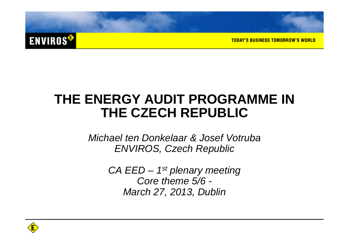

**TODAY'S BUSINESS TOMORROW'S WORLD** 

#### **THE ENERGY AUDIT PROGRAMME IN THE CZECH REPUBLIC**

Michael ten Donkelaar & Josef VotrubaENVIROS, Czech Republic

> $CA$  EED  $-$  1<sup>st</sup> plenary meeting Core theme 5/6 -March 27, 2013, Dublin

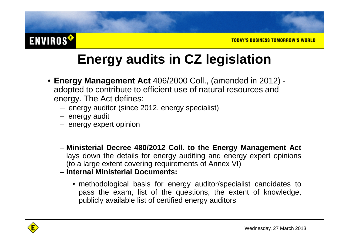#### **ENVIROS®**

## **Energy audits in CZ legislation**

- **Energy Management Act** 406/2000 Coll., (amended in 2012) adopted to contribute to efficient use of natural resources and energy. The Act defines:
	- energy auditor (since 2012, energy specialist)
	- energy audit
	- energy expert opinion
	- **Ministerial Decree 480/2012 Coll. to the Energy Management Act** lays down the details for energy auditing and energy expert opinions(to <sup>a</sup> large extent covering requirements of Annex VI)
	- **Internal Ministerial Documents:**
		- methodological basis for energy auditor/specialist candidates to pass the exam, list of the questions, the extent of knowledge, publicly available list of certified energy auditors

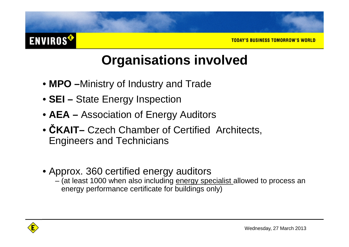#### TODAY'S BUSINESS TOMORROW'S WORLD

#### **Organisations involved**

- **MPO –**Ministry of Industry and Trade
- **SEI –** State Energy Inspection
- **AEA –** Association of Energy Auditors
- •**CKAIT–** Czech Chamber of Certified Architects, Engineers and Technicians
- Approx. 360 certified energy auditors
	- (at least 1000 when also including <u>energy specialist </u>allowed to process an energy performance certificate for buildings only)



**ENVIROS<sup>®</sup>**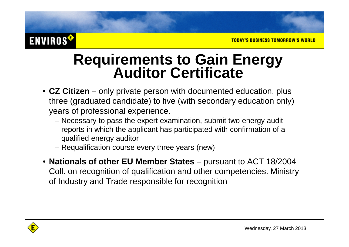#### **ENVIROS<sup>®</sup>**

# **Requirements to Gain Energy Auditor Certificate**

- **CZ Citizen** only private person with documented education, plus three (graduated candidate) to five (with secondary education only) years of professional experience.
	- Necessary to pass the expert examination, submit two energy audit reports in which the applicant has participated with confirmation of a qualified energy auditor
	- Requalification course every three years (new)
- **Nationals of other EU Member States** pursuant to ACT 18/2004 Coll. on recognition of qualification and other competencies. Ministry of Industry and Trade responsible for recognition

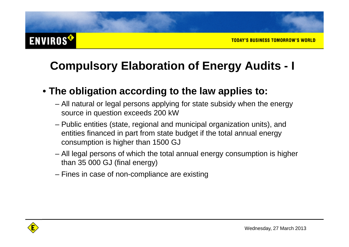#### **ENVIROS<sup>®</sup>**

#### **Compulsory Elaboration of Energy Audits - I**

#### • **The obligation according to the law applies to:**

- All natural or legal persons applying for state subsidy when the energy source in question exceeds 200 kW
- Public entities (state, regional and municipal organization units), and entities financed in part from state budget if the total annual energy consumption is higher than 1500 GJ
- All legal persons of which the total annual energy consumption is higher than 35 000 GJ (final energy)
- Fines in case of non-compliance are existing

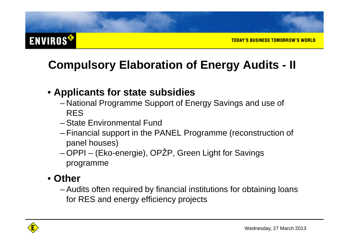#### **ENVIROS®**

#### **Compulsory Elaboration of Energy Audits - II**

#### • **Applicants for state subsidies**

- National Programme Support of Energy Savings and use of RES
- 112 State Environmental Fund
- $\_$  Financial cunnort in the  $\mathsf E$  Financial support in the PANEL Programme (reconstruction of panel houses)
- OPPI (Eko-energie), OPŽP, Green Light for Savingsprogramme

#### • **Other**

 Audits often required by financial institutions for obtaining loans for RES and energy efficiency projects

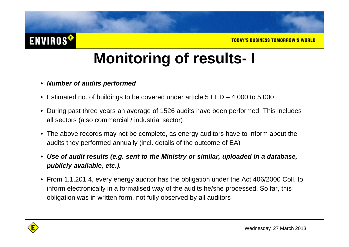#### **ENVIROS<sup>®</sup>**

## **Monitoring of results- I**

- **Number of audits performed**
- Estimated no. of buildings to be covered under article 5 EED 4,000 to 5,000
- During past three years an average of 1526 audits have been performed. This includes all sectors (also commercial / industrial sector)
- The above records may not be complete, as energy auditors have to inform about the audits they performed annually (incl. details of the outcome of EA)
- **Use of audit results (e.g. sent to the Ministry or similar, uploaded in a database, publicly available, etc.).**
- From 1.1.201 4, every energy auditor has the obligation under the Act 406/2000 Coll. to inform electronically in a formalised way of the audits he/she processed. So far, this obligation was in written form, not fully observed by all auditors

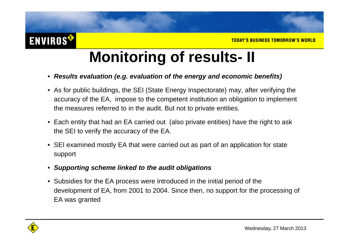## **Monitoring of results- II**

- **Results evaluation (e.g. evaluation of the energy and economic benefits)**
- As for public buildings, the SEI (State Energy Inspectorate) may, after verifying the accuracy of the EA, impose to the competent institution an obligation to implement the measures referred to in the audit. But not to private entities.
- Each entity that had an EA carried out (also private entities) have the right to ask the SEI to verify the accuracy of the EA.
- SEI examined mostly EA that were carried out as part of an application for state support
- $\bullet$ **Supporting scheme linked to the audit obligations**
- Subsidies for the EA process were introduced in the initial period of the development of EA, from 2001 to 2004. Since then, no support for the processing of EA was granted

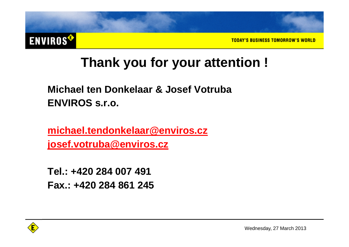

#### **Thank you for your attention !**

**Michael ten Donkelaar & Josef VotrubaENVIROS s.r.o.**

**michael.tendonkelaar@enviros.czjosef.votruba@enviros.cz**

**Tel.: +420 284 007 491 Fax.: +420 284 861 245**